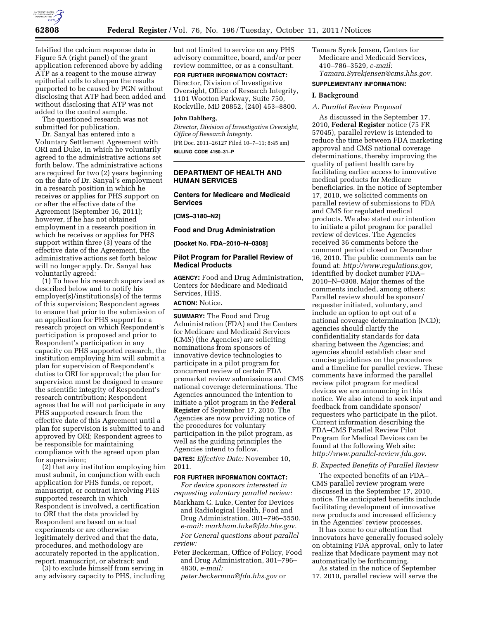

falsified the calcium response data in Figure 5A (right panel) of the grant application referenced above by adding ATP as a reagent to the mouse airway epithelial cells to sharpen the results purported to be caused by PGN without disclosing that ATP had been added and without disclosing that ATP was not added to the control sample.

The questioned research was not submitted for publication.

Dr. Sanyal has entered into a Voluntary Settlement Agreement with ORI and Duke, in which he voluntarily agreed to the administrative actions set forth below. The administrative actions are required for two (2) years beginning on the date of Dr. Sanyal's employment in a research position in which he receives or applies for PHS support on or after the effective date of the Agreement (September 16, 2011); however, if he has not obtained employment in a research position in which he receives or applies for PHS support within three (3) years of the effective date of the Agreement, the administrative actions set forth below will no longer apply. Dr. Sanyal has voluntarily agreed:

(1) To have his research supervised as described below and to notify his employer(s)/institutions(s) of the terms of this supervision; Respondent agrees to ensure that prior to the submission of an application for PHS support for a research project on which Respondent's participation is proposed and prior to Respondent's participation in any capacity on PHS supported research, the institution employing him will submit a plan for supervision of Respondent's duties to ORI for approval; the plan for supervision must be designed to ensure the scientific integrity of Respondent's research contribution; Respondent agrees that he will not participate in any PHS supported research from the effective date of this Agreement until a plan for supervision is submitted to and approved by ORI; Respondent agrees to be responsible for maintaining compliance with the agreed upon plan for supervision;

(2) that any institution employing him must submit, in conjunction with each application for PHS funds, or report, manuscript, or contract involving PHS supported research in which Respondent is involved, a certification to ORI that the data provided by Respondent are based on actual experiments or are otherwise legitimately derived and that the data, procedures, and methodology are accurately reported in the application, report, manuscript, or abstract; and

(3) to exclude himself from serving in any advisory capacity to PHS, including

but not limited to service on any PHS advisory committee, board, and/or peer review committee, or as a consultant.

**FOR FURTHER INFORMATION CONTACT:** 

Director, Division of Investigative Oversight, Office of Research Integrity, 1101 Wootton Parkway, Suite 750, Rockville, MD 20852, (240) 453–8800.

## **John Dahlberg,**

*Director, Division of Investigative Oversight, Office of Research Integrity.*  [FR Doc. 2011–26127 Filed 10–7–11; 8:45 am] **BILLING CODE 4150–31–P** 

# **DEPARTMENT OF HEALTH AND HUMAN SERVICES**

# **Centers for Medicare and Medicaid Services**

**[CMS–3180–N2]** 

**Food and Drug Administration** 

**[Docket No. FDA–2010–N–0308]** 

## **Pilot Program for Parallel Review of Medical Products**

**AGENCY:** Food and Drug Administration, Centers for Medicare and Medicaid Services, HHS.

# **ACTION:** Notice.

**SUMMARY:** The Food and Drug Administration (FDA) and the Centers for Medicare and Medicaid Services (CMS) (the Agencies) are soliciting nominations from sponsors of innovative device technologies to participate in a pilot program for concurrent review of certain FDA premarket review submissions and CMS national coverage determinations. The Agencies announced the intention to initiate a pilot program in the **Federal Register** of September 17, 2010. The Agencies are now providing notice of the procedures for voluntary participation in the pilot program, as well as the guiding principles the Agencies intend to follow.

**DATES:** *Effective Date:* November 10, 2011.

## **FOR FURTHER INFORMATION CONTACT:**

*For device sponsors interested in requesting voluntary parallel review:*  Markham C. Luke, Center for Devices and Radiological Health, Food and

Drug Administration, 301–796–5550, *e-mail: [markham.luke@fda.hhs.gov.](mailto:markham.luke@fda.hhs.gov) For General questions about parallel review:* 

Peter Beckerman, Office of Policy, Food and Drug Administration, 301–796– 4830, *e-mail:* 

*[peter.beckerman@fda.hhs.gov](mailto:peter.beckerman@fda.hhs.gov)* or

Tamara Syrek Jensen, Centers for Medicare and Medicaid Services, 410–786–3529, *e-mail: [Tamara.Syrekjensen@cms.hhs.gov.](mailto:Tamara.Syrekjensen@cms.hhs.gov)* 

#### **SUPPLEMENTARY INFORMATION:**

## **I. Background**

## *A. Parallel Review Proposal*

As discussed in the September 17, 2010, **Federal Register** notice (75 FR 57045), parallel review is intended to reduce the time between FDA marketing approval and CMS national coverage determinations, thereby improving the quality of patient health care by facilitating earlier access to innovative medical products for Medicare beneficiaries. In the notice of September 17, 2010, we solicited comments on parallel review of submissions to FDA and CMS for regulated medical products. We also stated our intention to initiate a pilot program for parallel review of devices. The Agencies received 36 comments before the comment period closed on December 16, 2010. The public comments can be found at: *[http://www.regulations.gov,](http://www.regulations.gov)*  identified by docket number FDA– 2010–N–0308. Major themes of the comments included, among others: Parallel review should be sponsor/ requester initiated, voluntary, and include an option to opt out of a national coverage determination (NCD); agencies should clarify the confidentiality standards for data sharing between the Agencies; and agencies should establish clear and concise guidelines on the procedures and a timeline for parallel review. These comments have informed the parallel review pilot program for medical devices we are announcing in this notice. We also intend to seek input and feedback from candidate sponsor/ requesters who participate in the pilot. Current information describing the FDA–CMS Parallel Review Pilot Program for Medical Devices can be found at the following Web site: *<http://www.parallel-review.fda.gov>*.

# *B. Expected Benefits of Parallel Review*

The expected benefits of an FDA– CMS parallel review program were discussed in the September 17, 2010, notice. The anticipated benefits include facilitating development of innovative new products and increased efficiency in the Agencies' review processes.

It has come to our attention that innovators have generally focused solely on obtaining FDA approval, only to later realize that Medicare payment may not automatically be forthcoming.

As stated in the notice of September 17, 2010, parallel review will serve the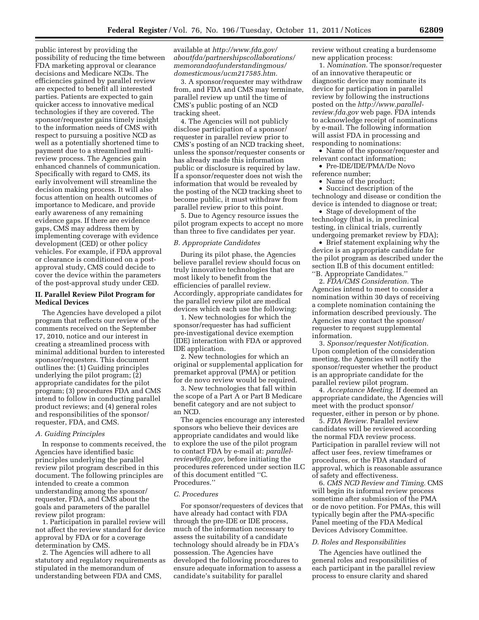public interest by providing the possibility of reducing the time between FDA marketing approval or clearance decisions and Medicare NCDs. The efficiencies gained by parallel review are expected to benefit all interested parties. Patients are expected to gain quicker access to innovative medical technologies if they are covered. The sponsor/requester gains timely insight to the information needs of CMS with respect to pursuing a positive NCD as well as a potentially shortened time to payment due to a streamlined multireview process. The Agencies gain enhanced channels of communication. Specifically with regard to CMS, its early involvement will streamline the decision making process. It will also focus attention on health outcomes of importance to Medicare, and provide early awareness of any remaining evidence gaps. If there are evidence gaps, CMS may address them by implementing coverage with evidence development (CED) or other policy vehicles. For example, if FDA approval or clearance is conditioned on a postapproval study, CMS could decide to cover the device within the parameters of the post-approval study under CED.

#### **II. Parallel Review Pilot Program for Medical Devices**

The Agencies have developed a pilot program that reflects our review of the comments received on the September 17, 2010, notice and our interest in creating a streamlined process with minimal additional burden to interested sponsor/requesters. This document outlines the: (1) Guiding principles underlying the pilot program; (2) appropriate candidates for the pilot program; (3) procedures FDA and CMS intend to follow in conducting parallel product reviews; and (4) general roles and responsibilities of the sponsor/ requester, FDA, and CMS.

## *A. Guiding Principles*

In response to comments received, the Agencies have identified basic principles underlying the parallel review pilot program described in this document. The following principles are intended to create a common understanding among the sponsor/ requester, FDA, and CMS about the goals and parameters of the parallel review pilot program:

1. Participation in parallel review will not affect the review standard for device approval by FDA or for a coverage determination by CMS.

2. The Agencies will adhere to all statutory and regulatory requirements as stipulated in the memorandum of understanding between FDA and CMS,

available at *[http://www.fda.gov/](http://www.fda.gov/aboutfda/partnershipscollaborations/memorandaofunderstandingmous/domesticmous/ucm217585.htm)  [aboutfda/partnershipscollaborations/](http://www.fda.gov/aboutfda/partnershipscollaborations/memorandaofunderstandingmous/domesticmous/ucm217585.htm) [memorandaofunderstandingmous/](http://www.fda.gov/aboutfda/partnershipscollaborations/memorandaofunderstandingmous/domesticmous/ucm217585.htm) [domesticmous/ucm217585.htm.](http://www.fda.gov/aboutfda/partnershipscollaborations/memorandaofunderstandingmous/domesticmous/ucm217585.htm)* 

3. A sponsor/requester may withdraw from, and FDA and CMS may terminate, parallel review up until the time of CMS's public posting of an NCD tracking sheet.

4. The Agencies will not publicly disclose participation of a sponsor/ requester in parallel review prior to CMS's posting of an NCD tracking sheet, unless the sponsor/requester consents or has already made this information public or disclosure is required by law. If a sponsor/requester does not wish the information that would be revealed by the posting of the NCD tracking sheet to become public, it must withdraw from parallel review prior to this point.

5. Due to Agency resource issues the pilot program expects to accept no more than three to five candidates per year.

## *B. Appropriate Candidates*

During its pilot phase, the Agencies believe parallel review should focus on truly innovative technologies that are most likely to benefit from the efficiencies of parallel review. Accordingly, appropriate candidates for the parallel review pilot are medical devices which each use the following:

1. New technologies for which the sponsor/requester has had sufficient pre-investigational device exemption (IDE) interaction with FDA or approved IDE application.

2. New technologies for which an original or supplemental application for premarket approval (PMA) or petition for de novo review would be required.

3. New technologies that fall within the scope of a Part A or Part B Medicare benefit category and are not subject to an NCD.

The agencies encourage any interested sponsors who believe their devices are appropriate candidates and would like to explore the use of the pilot program to contact FDA by e-mail at: *[parallel](mailto:parallel-review@fda.gov)[review@fda.gov,](mailto:parallel-review@fda.gov)* before initiating the procedures referenced under section II.C of this document entitled ''C. Procedures.''

#### *C. Procedures*

For sponsor/requesters of devices that have already had contact with FDA through the pre-IDE or IDE process, much of the information necessary to assess the suitability of a candidate technology should already be in FDA's possession. The Agencies have developed the following procedures to ensure adequate information to assess a candidate's suitability for parallel

review without creating a burdensome new application process:

1. *Nomination.* The sponsor/requester of an innovative therapeutic or diagnostic device may nominate its device for participation in parallel review by following the instructions posted on the *[http://www.parallel](http://www.parallel-review.fda.gov)[review.fda.gov](http://www.parallel-review.fda.gov)* web page. FDA intends to acknowledge receipt of nominations by e-mail. The following information will assist FDA in processing and responding to nominations:

• Name of the sponsor/requester and relevant contact information;

• Pre-IDE/IDE/PMA/De Novo reference number;

• Name of the product;

• Succinct description of the technology and disease or condition the device is intended to diagnose or treat;

• Stage of development of the technology (that is, in preclinical testing, in clinical trials, currently undergoing premarket review by FDA);

• Brief statement explaining why the device is an appropriate candidate for the pilot program as described under the section II.B of this document entitled: ''B. Appropriate Candidates.''

2. *FDA/CMS Consideration.* The Agencies intend to meet to consider a nomination within 30 days of receiving a complete nomination containing the information described previously. The Agencies may contact the sponsor/ requester to request supplemental information.

3. *Sponsor/requester Notification.*  Upon completion of the consideration meeting, the Agencies will notify the sponsor/requester whether the product is an appropriate candidate for the parallel review pilot program.

4. *Acceptance Meeting.* If deemed an appropriate candidate, the Agencies will meet with the product sponsor/ requester, either in person or by phone.

5. *FDA Review.* Parallel review candidates will be reviewed according the normal FDA review process. Participation in parallel review will not affect user fees, review timeframes or procedures, or the FDA standard of approval, which is reasonable assurance of safety and effectiveness.

6. *CMS NCD Review and Timing.* CMS will begin its informal review process sometime after submission of the PMA or de novo petition. For PMAs, this will typically begin after the PMA-specific Panel meeting of the FDA Medical Devices Advisory Committee.

#### *D. Roles and Responsibilities*

The Agencies have outlined the general roles and responsibilities of each participant in the parallel review process to ensure clarity and shared